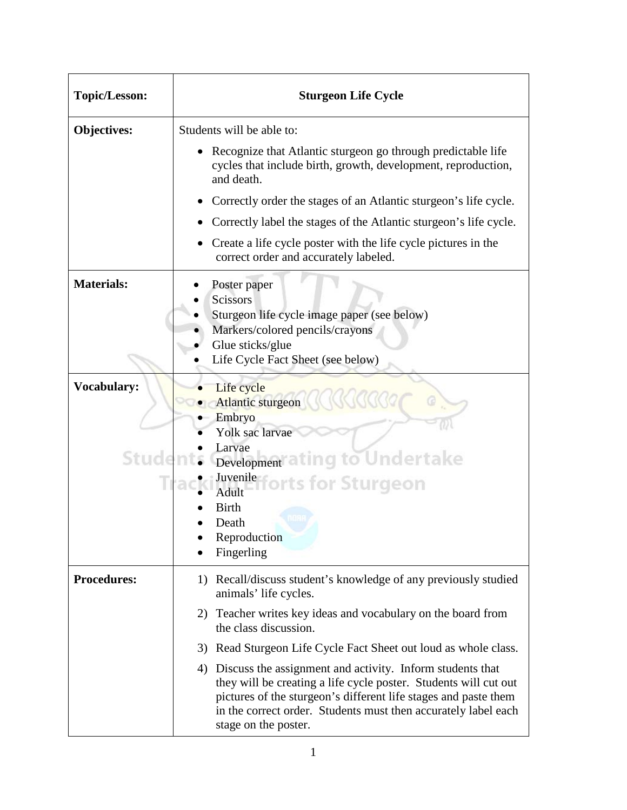| <b>Topic/Lesson:</b>        | <b>Sturgeon Life Cycle</b>                                                                                                                                                                                                                                                                    |
|-----------------------------|-----------------------------------------------------------------------------------------------------------------------------------------------------------------------------------------------------------------------------------------------------------------------------------------------|
| Objectives:                 | Students will be able to:                                                                                                                                                                                                                                                                     |
|                             | Recognize that Atlantic sturgeon go through predictable life<br>cycles that include birth, growth, development, reproduction,<br>and death.                                                                                                                                                   |
|                             | • Correctly order the stages of an Atlantic sturgeon's life cycle.                                                                                                                                                                                                                            |
|                             | Correctly label the stages of the Atlantic sturgeon's life cycle.                                                                                                                                                                                                                             |
|                             | Create a life cycle poster with the life cycle pictures in the<br>correct order and accurately labeled.                                                                                                                                                                                       |
| <b>Materials:</b>           | Poster paper<br><b>Scissors</b><br>Sturgeon life cycle image paper (see below)<br>Markers/colored pencils/crayons<br>Glue sticks/glue<br>Life Cycle Fact Sheet (see below)                                                                                                                    |
| <b>Vocabulary:</b><br>Stude | Life cycle<br>Atlantic sturgeon<br>Embryo<br>Yolk sac larvae<br>Larvae<br>Development a ting to Undertake<br>Juvenilefforts for Sturgeon<br>Adult<br><b>Birth</b><br>Death<br>Reproduction<br>Fingerling                                                                                      |
| <b>Procedures:</b>          | 1) Recall/discuss student's knowledge of any previously studied<br>animals' life cycles.                                                                                                                                                                                                      |
|                             | 2) Teacher writes key ideas and vocabulary on the board from<br>the class discussion.                                                                                                                                                                                                         |
|                             | 3) Read Sturgeon Life Cycle Fact Sheet out loud as whole class.                                                                                                                                                                                                                               |
|                             | 4) Discuss the assignment and activity. Inform students that<br>they will be creating a life cycle poster. Students will cut out<br>pictures of the sturgeon's different life stages and paste them<br>in the correct order. Students must then accurately label each<br>stage on the poster. |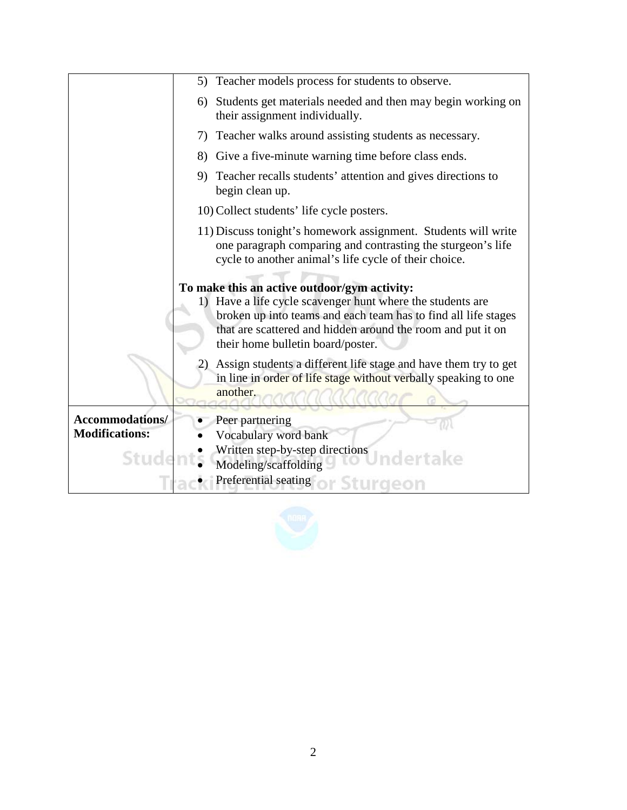|                                                   | 5) Teacher models process for students to observe.                                                                                                                                                                                                                               |
|---------------------------------------------------|----------------------------------------------------------------------------------------------------------------------------------------------------------------------------------------------------------------------------------------------------------------------------------|
|                                                   | Students get materials needed and then may begin working on<br>6)<br>their assignment individually.                                                                                                                                                                              |
|                                                   | 7) Teacher walks around assisting students as necessary.                                                                                                                                                                                                                         |
|                                                   | 8) Give a five-minute warning time before class ends.                                                                                                                                                                                                                            |
|                                                   | 9) Teacher recalls students' attention and gives directions to<br>begin clean up.                                                                                                                                                                                                |
|                                                   | 10) Collect students' life cycle posters.                                                                                                                                                                                                                                        |
|                                                   | 11) Discuss tonight's homework assignment. Students will write<br>one paragraph comparing and contrasting the sturgeon's life<br>cycle to another animal's life cycle of their choice.                                                                                           |
|                                                   | To make this an active outdoor/gym activity:<br>1) Have a life cycle scavenger hunt where the students are<br>broken up into teams and each team has to find all life stages<br>that are scattered and hidden around the room and put it on<br>their home bulletin board/poster. |
|                                                   | Assign students a different life stage and have them try to get<br>2)<br>in line in order of life stage without verbally speaking to one<br>another.                                                                                                                             |
| Accommodations/<br><b>Modifications:</b><br>Stude | Peer partnering<br>Vocabulary word bank<br>Written step-by-step directions<br>Modeling/scaffolding<br>Preferential seating                                                                                                                                                       |

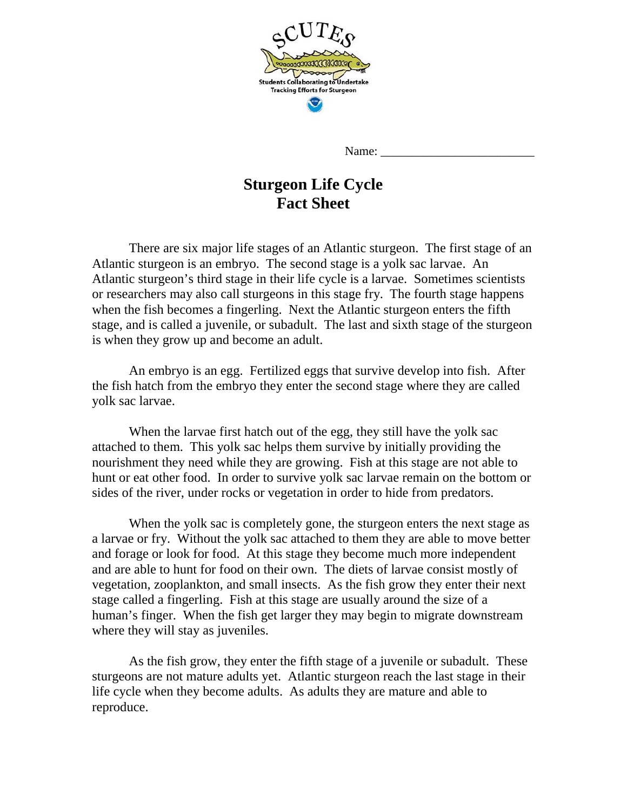

Name:

## **Sturgeon Life Cycle Fact Sheet**

There are six major life stages of an Atlantic sturgeon. The first stage of an Atlantic sturgeon is an embryo. The second stage is a yolk sac larvae. An Atlantic sturgeon's third stage in their life cycle is a larvae. Sometimes scientists or researchers may also call sturgeons in this stage fry. The fourth stage happens when the fish becomes a fingerling. Next the Atlantic sturgeon enters the fifth stage, and is called a juvenile, or subadult. The last and sixth stage of the sturgeon is when they grow up and become an adult.

 An embryo is an egg. Fertilized eggs that survive develop into fish. After the fish hatch from the embryo they enter the second stage where they are called yolk sac larvae.

When the larvae first hatch out of the egg, they still have the yolk sac attached to them. This yolk sac helps them survive by initially providing the nourishment they need while they are growing. Fish at this stage are not able to hunt or eat other food. In order to survive yolk sac larvae remain on the bottom or sides of the river, under rocks or vegetation in order to hide from predators.

 When the yolk sac is completely gone, the sturgeon enters the next stage as a larvae or fry. Without the yolk sac attached to them they are able to move better and forage or look for food. At this stage they become much more independent and are able to hunt for food on their own. The diets of larvae consist mostly of vegetation, zooplankton, and small insects. As the fish grow they enter their next stage called a fingerling. Fish at this stage are usually around the size of a human's finger. When the fish get larger they may begin to migrate downstream where they will stay as juveniles.

 As the fish grow, they enter the fifth stage of a juvenile or subadult. These sturgeons are not mature adults yet. Atlantic sturgeon reach the last stage in their life cycle when they become adults. As adults they are mature and able to reproduce.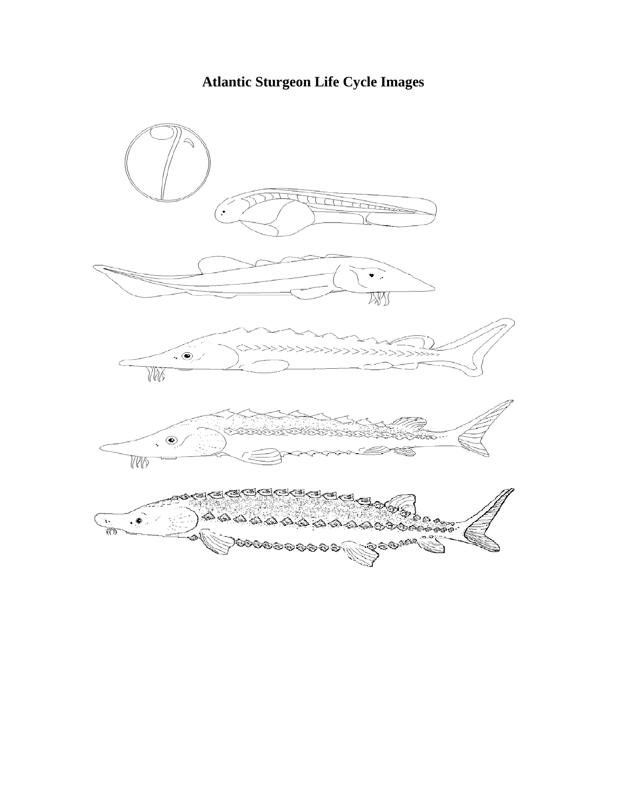## **Atlantic Sturgeon Life Cycle Images**